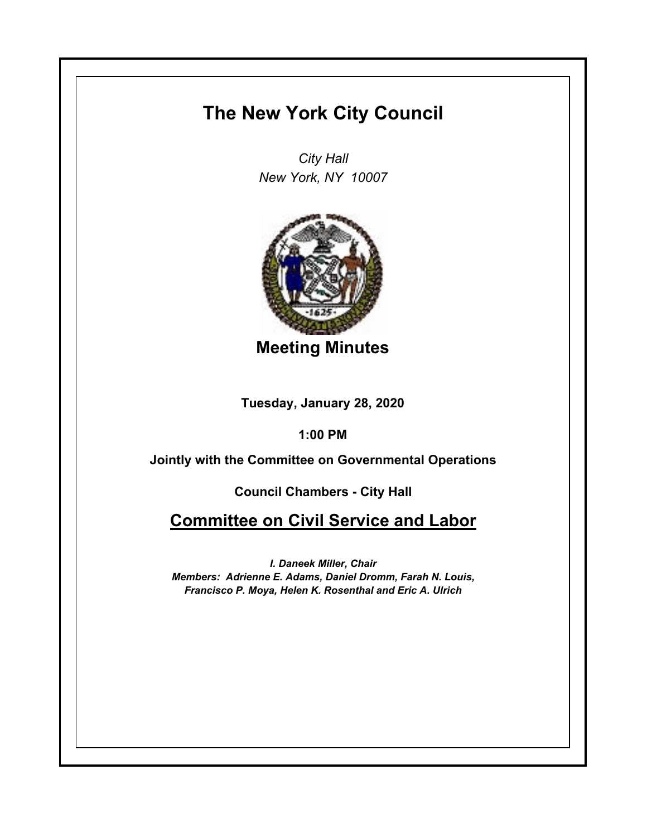## **The New York City Council**

*City Hall New York, NY 10007*



**Meeting Minutes**

**Tuesday, January 28, 2020**

**1:00 PM**

**Jointly with the Committee on Governmental Operations**

**Council Chambers - City Hall**

**Committee on Civil Service and Labor**

*I. Daneek Miller, Chair Members: Adrienne E. Adams, Daniel Dromm, Farah N. Louis, Francisco P. Moya, Helen K. Rosenthal and Eric A. Ulrich*